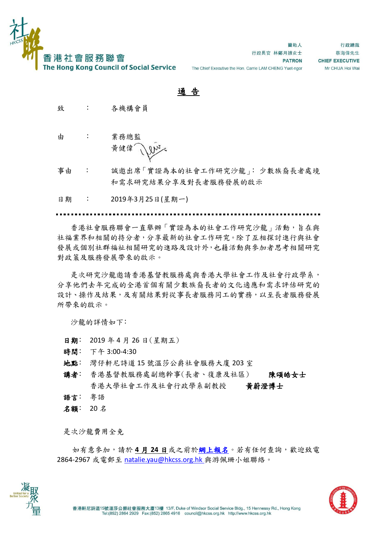

替助人 行政長官 林鄭月娥女士 **PATRON** The Chief Executive the Hon. Carrie LAM CHENG Yuet-ngor

行政總裁 蔡海偉先生 **CHIEF EXECUTIVE** Mr CHUA Hoi Wai

## 通 告

- 致 : 各機構會員
- 由 : 業務總監 黃健偉

事由 : 誠邀出席「實證為本的社會工作研究沙龍」﹕少數族裔長者處境 和需求研究結果分享及對長者服務發展的啟示

日期 : 2019年3月25日(星期一)

香港社會服務聯會一直舉辦「實證為本的社會工作研究沙龍」活動,旨在與 社福業界和相關的持分者,分享最新的社會工作研究。除了互相探討進行與社會 發展或個別社群福祉相關研究的進路及設計外,也藉活動與參加者思考相關研究 對政策及服務發展帶來的啟示。

是次研究沙龍邀請香港基督教服務處與香港大學社會工作及社會行政學系, 分享他們去年完成的全港首個有關少數族裔長者的文化適應和需求評估研究的 設計、操作及結果,及有關結果對從事長者服務同工的實務,以至長者服務發展 所帶來的啟示。

沙龍的詳情如下﹕

- 日期﹕ 2019 年 4 月 26 日(星期五)
- 時間﹕ 下午 3:00-4:30
- 地點﹕ 灣仔軒尼詩道 15 號溫莎公爵社會服務大廈 203 室
- 講者: 香港基督教服務處副總幹事(長者、復康及社區) 陳頌皓女士 香港大學社會工作及社會行政學系副教授 黃蔚澄博士
- 語言: 粤語
- 名額﹕ 20 名

是次沙龍費用全免

如有意參加,請於 **4** 月 **24** 日或之前[於網上報名。](https://event.hkcss.org.hk/registration.aspx?lang=zh&ID=EventID0001377)若有任何查詢,歡迎致電 2864-2967 或電郵至 [natalie.yau@hkcss.org.hk](mailto:natalie.yau@hkcss.org.hk) 與游佩珊小姐聯絡。